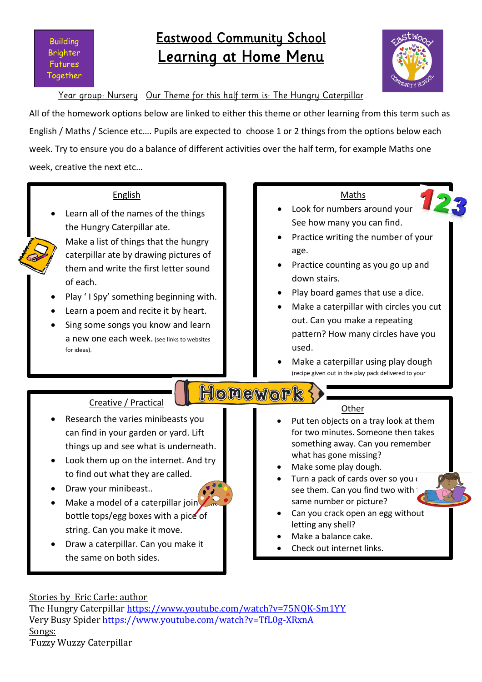# **Building Brighter** Futures Together

# Eastwood Community School **Learning at Home Menu**



Year group: Nursery Our Theme for this half term is: The Hungry Caterpillar

All of the homework options below are linked to either this theme or other learning from this term such as English / Maths / Science etc…. Pupils are expected to choose 1 or 2 things from the options below each week. Try to ensure you do a balance of different activities over the half term, for example Maths one week, creative the next etc…

### English

- Learn all of the names of the things the Hungry Caterpillar ate.
	- Make a list of things that the hungry caterpillar ate by drawing pictures of them and write the first letter sound of each.
- Play ' I Spy' something beginning with.
- Learn a poem and recite it by heart.
- Sing some songs you know and learn a new one each week. (see links to websites for ideas).

Creative / Practical

can find in your garden or yard. Lift things up and see what is underneath.

#### Maths

- Look for numbers around your See how many you can find.
- Practice writing the number of your age.
- Practice counting as you go up and down stairs.
- Play board games that use a dice.
- Make a caterpillar with circles you cut out. Can you make a repeating pattern? How many circles have you used.
- Make a caterpillar using play dough (recipe given out in the play pack delivered to your

# **Homework**

# **Other**

- Put ten objects on a tray look at them for two minutes. Someone then takes something away. Can you remember what has gone missing?
- Make some play dough.
- Turn a pack of cards over so you  $\epsilon$ see them. Can you find two with same number or picture?
- Can you crack open an egg without letting any shell?
- Make a balance cake.
- Check out internet links.

Stories by Eric Carle: author

The Hungry Caterpillar<https://www.youtube.com/watch?v=75NQK-Sm1YY> Very Busy Spide[r https://www.youtube.com/watch?v=TfL0g-XRxnA](https://www.youtube.com/watch?v=TfL0g-XRxnA) Songs:

'Fuzzy Wuzzy Caterpillar

Make a model of a caterpillar join

- Look them up on the internet. And try to find out what they are called. • Draw your minibeast..
	-
- bottle tops/egg boxes with a pice of string. Can you make it move.
- Draw a caterpillar. Can you make it the same on both sides.

Research the varies minibeasts you